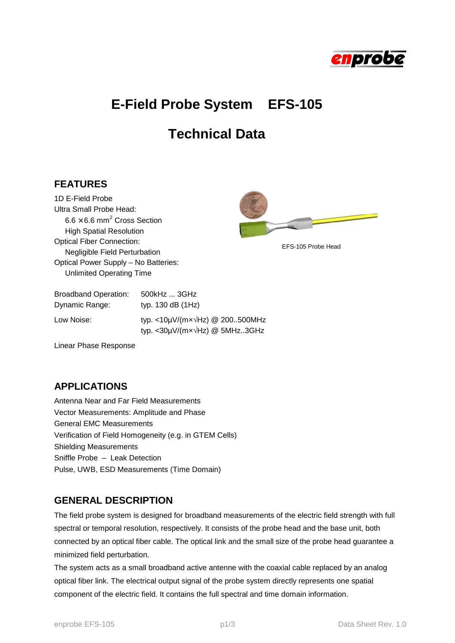

# **E-Field Probe System EFS-105**

## **Technical Data**

#### **FEATURES**

1D E-Field Probe Ultra Small Probe Head:  $6.6 \times 6.6$  mm<sup>2</sup> Cross Section High Spatial Resolution Optical Fiber Connection: Negligible Field Perturbation Optical Power Supply – No Batteries: Unlimited Operating Time



EFS-105 Probe Head

| <b>Broadband Operation:</b> | 500kHz  3GHz                                                                              |
|-----------------------------|-------------------------------------------------------------------------------------------|
| Dynamic Range:              | typ. $130$ dB $(1Hz)$                                                                     |
| Low Noise:                  | typ. <10µV/( $mx\sqrt{Hz}$ ) @ 200500MHz<br>typ. <30 $\mu$ V/(m $x\sqrt{Hz}$ ) @ 5MHz3GHz |

Linear Phase Response

#### **APPLICATIONS**

Antenna Near and Far Field Measurements Vector Measurements: Amplitude and Phase General EMC Measurements Verification of Field Homogeneity (e.g. in GTEM Cells) Shielding Measurements Sniffle Probe – Leak Detection Pulse, UWB, ESD Measurements (Time Domain)

## **GENERAL DESCRIPTION**

The field probe system is designed for broadband measurements of the electric field strength with full spectral or temporal resolution, respectively. It consists of the probe head and the base unit, both connected by an optical fiber cable. The optical link and the small size of the probe head guarantee a minimized field perturbation.

The system acts as a small broadband active antenne with the coaxial cable replaced by an analog optical fiber link. The electrical output signal of the probe system directly represents one spatial component of the electric field. It contains the full spectral and time domain information.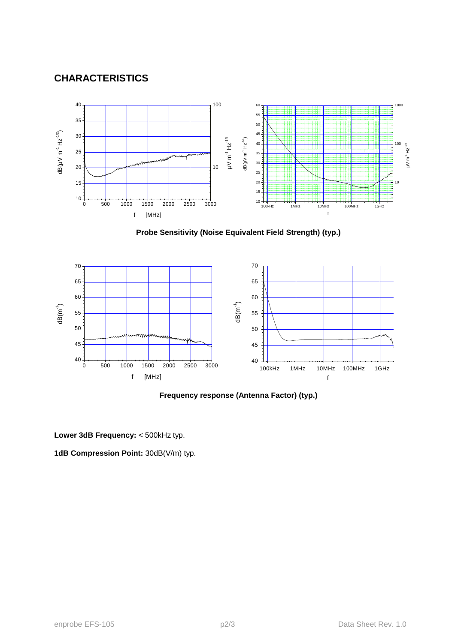## **CHARACTERISTICS**



**Probe Sensitivity (Noise Equivalent Field Strength) (typ.)**



**Frequency response (Antenna Factor) (typ.)**

**Lower 3dB Frequency:** < 500kHz typ.

**1dB Compression Point:** 30dB(V/m) typ.